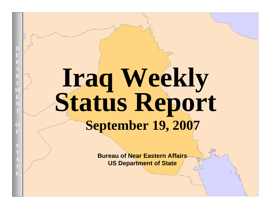# **Iraq Weekly Status Report September 19, 2007**

**Bureau of Near Eastern Affairs US Department of State**

UNCLASSIFIED AT A 2000 FOR DEVELOPMENT OF THE CONTRACTOR CONTRACTOR CONTRACTOR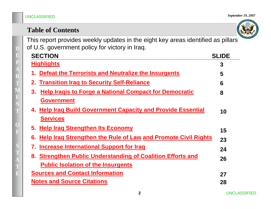### **Table of Contents**

This report provides weekly updates in the eight key areas identified as pillars of U.S. government policy for victory in Iraq.

| <b>SECTION</b>                                                      | <b>SLIDE</b> |
|---------------------------------------------------------------------|--------------|
| <b>Highlights</b>                                                   | 3            |
| Defeat the Terrorists and Neutralize the Insurgents                 | 5            |
| 2. Transition Irag to Security Self-Reliance                        | 6            |
| <b>Help Iragis to Forge a National Compact for Democratic</b><br>3. | 8            |
| <b>Government</b>                                                   |              |
| 4. Help Iraq Build Government Capacity and Provide Essential        | 10           |
| <b>Services</b>                                                     |              |
| 5. Help Irag Strengthen Its Economy                                 | 15           |
| 6. Help Iraq Strengthen the Rule of Law and Promote Civil Rights    | 23           |
| 7. Increase International Support for Irag                          | 24           |
| 8. Strengthen Public Understanding of Coalition Efforts and         | 26           |
| <b>Public Isolation of the Insurgents</b>                           |              |
| <b>Sources and Contact Information</b>                              | 27           |
| <b>Notes and Source Citations</b>                                   | 28           |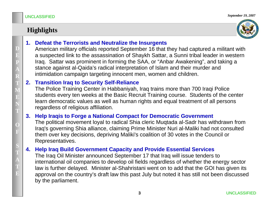### **Highlights**



#### **1.Defeat the Terrorists and Neutralize the Insurgents**

American military officials reported September 16 that they had captured a militant with a suspected link to the assassination of Shaykh Sattar, a Sunni tribal leader in western Iraq. Sattar was prominent in forming the SAA, or "Anbar Awakening", and taking a stance against al-Qaida's radical interpretation of Islam and their murder and intimidation campaign targeting innocent men, women and children.

#### **2.Transition Iraq to Security Self-Reliance**

The Police Training Center in Habbaniyah, Iraq trains more than 700 Iraqi Police students every ten weeks at the Basic Recruit Training course. Students of the center learn democratic values as well as human rights and equal treatment of all persons regardless of religious affiliation.

#### **3. Help Iraqis to Forge a National Compact for Democratic Government**

The political movement loyal to radical Shia cleric Muqtada al-Sadr has withdrawn from Iraq's governing Shia alliance, claiming Prime Minister Nuri al-Maliki had not consulted them over key decisions, depriving Maliki's coalition of 30 votes in the Council or Representatives.

#### **4.Help Iraq Build Government Capacity and Provide Essential Services**

The Iraq Oil Minister announced September 17 that Iraq will issue tenders to international oil companies to develop oil fields regardless of whether the energy sector law is further delayed. Minister al-Shahristani went on to add that the GOI has given its approval on the country's draft law this past July but noted it has still not been discussed by the parliament.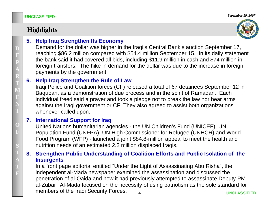### **Highlights**



### **5. Help Iraq Strengthen Its Economy**

Demand for the dollar was higher in the Iraqi's Central Bank's auction September 17, reaching \$86.2 million compared with \$54.4 million September 15. In its daily statement the bank said it had covered all bids, including \$11.9 million in cash and \$74 million in foreign transfers. The hike in demand for the dollar was due to the increase in for eign payments by the government.

#### **6. Help Iraq Strengthen the Rule of Law**

Iraqi Police and Coalition forces (CF) released a total of 67 detainees September 12 in Baqubah, as a demonstration of due process and in the spirit of Ramadan. Each individual freed said a prayer and took a pledge not to break the law nor bear arms against the Iraqi government or CF. They also agreed to assist both organizations whenever called upon.

#### **7.International Support for Iraq**

United Nations humanitarian agencies - the UN Children's Fund (UNICEF), UN Population Fund (UNFPA), UN High Commissioner for Refugee (UNHCR) and World Food Program ( WFP) - launched a joint \$84.8-million appeal to meet the health and nutrition needs of an estimated 2.2 million displaced Iraqis.

#### **8. Strengthen Public Understanding of Coalition Efforts and Public Isolation of the Insurgents**

In a front page editorial entitled " Under the Light of Assassinating Abu Risha", the independent al-Mada newspaper examined the assassination and discussed the penetration of al-Qaida and how it had previously attempted to assassinate Deputy PM al-Zubai. Al-Mada focused on the necessity of using patriotism as the sole standard for members of the Iraqi Security Forces.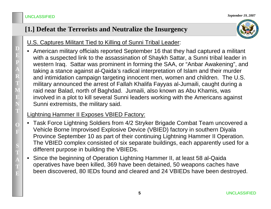### **[1.] Defeat the Terrorists and Neutralize the Insurgency**



### U.S. Captures Militant Tied to Killing of Sunni Tribal Leader:

• American military officials reported September 16 that they had captured a militant with a suspected link to the assassination of Shaykh Sattar, a Sunni tribal leader in western Iraq. Sattar was prominent in forming the SAA, or "Anbar Awakening", and taking a stance against al-Qaida's radical interpretation of Islam and their murder and intimidation campaign targeting innocent men, women and children. The U.S. military announced the arrest of Fallah Khalifa Fayyas al-Jumaili, caught during a raid near Balad, north of Baghdad. Jumaili, also known as Abu Khamis, was involved in a plot to kill several Sunni leaders working with the Americans against Sunni extremists, the military said.

#### Lightning Hammer II Exposes VBIED Factory:

- • Task Force Lightning Soldiers from 4/2 Stryker Brigade Combat Team uncovered a Vehicle Borne Improvised Explosive Device (VBIED) factory in southern Diyala Province September 10 as part of their continuing Lightning Hammer II Operation. The VBIED complex consisted of six separate buildings, each apparently used for a different purpose in building the VBIEDs.
- $\bullet$  Since the beginning of Operation Lightning Hammer II, at least 58 al-Qaida operatives have been killed, 369 have been detained, 50 weapons caches have been discovered, 80 IEDs found and cleared and 24 VBIEDs have been destroyed.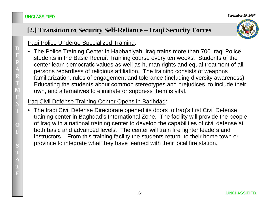### **[2.] Transition to Security Self-Reliance – Iraqi Security Forces**

#### **Iraqi Police Undergo Specialized Training:**

• The Police Training Center in Habbaniyah, Iraq trains more than 700 Iraqi Police students in the Basic Recruit Training course every ten weeks. Students of the center learn democratic values as well as human rights and equal treatment of all persons regardless of religious affiliation. The training consists of weapons familiarization, rules of engagement and tolerance (including diversity awareness). Educating the students about common stereotypes and prejudices, to include their own, and alternatives to eliminate or suppress them is vital.

### Iraq Civil Defense Training Center Opens in Baghdad:

• The Iraqi Civil Defense Directorate opened its doors to Iraq's first Civil Defense training center in Baghdad's International Zone. The facility will provide the people of Iraq with a national training center to develop the capabilities of civil defense at both basic and advanced levels. The center will train fire fighter leaders and instructors. From this training facility the students return to their home town or province to integrate what they have learned with their local fire station.

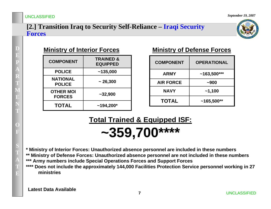#### **[2.] Transition Iraq to Security Self-Reliance – Iraqi Security Forces**



### **Ministry of Interior Forces**

| <b>COMPONENT</b>                  | <b>TRAINED &amp;</b><br><b>EQUIPPED</b> |
|-----------------------------------|-----------------------------------------|
| <b>POLICE</b>                     | ~135,000                                |
| <b>NATIONAL</b><br><b>POLICE</b>  | $\sim$ 26,300                           |
| <b>OTHER MOI</b><br><b>FORCES</b> | $-32,900$                               |
| <b>TOTAL</b>                      | $~194,200*$                             |

#### **Ministry of Defense Forces**

| <b>COMPONENT</b> | <b>OPERATIONAL</b> |
|------------------|--------------------|
| <b>ARMY</b>      | $~163,500***$      |
| <b>AIR FORCE</b> | $-900$             |
| <b>NAVY</b>      | $-1,100$           |
| <b>TOTAL</b>     | $~165,500**$       |

## **Total Trained & Equipped ISF: ~359,700\*\*\*\***

**\* Ministry of Interior Forces: Unauthorized absence personnel are included in these numbers \*\* Ministry of Defense Forces: Unauthorized absence personnel are not included in these numbers \*\*\* Army numbers include Special Operations Forces and Support Forces \*\*\*\* Does not include the approximately 144,000 Facilities Protection Service personnel working in 27** 

**Latest Data Available**

**ministries**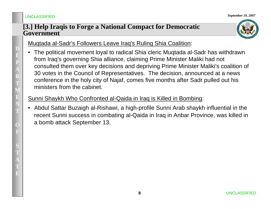#### *September 19, 2007*

#### **[3.] Help Iraqis to Forge a National Compact for Democratic Government**



### Muqtada al-Sadr's Followers Leave Iraq's Ruling Shia Coalition:

• The political movement loyal to radical Shia cleric Muqtada al-Sadr has withdrawn from Iraq's governing Shia alliance, claiming Prime Minister Maliki had not consulted them over key decisions and depriving Prime Minister Maliki's coalition of 30 votes in the Council of Representatives. The decision, announced at a news conference in the holy city of Najaf, comes five months after Sadr pulled out his ministers from the cabinet.

### Sunni Shaykh Who Confronted al-Qaida in Iraq is Killed in Bombing:

• Abdul Sattar Buzaigh al-Rishawi, a high-profile Sunni Arab shaykh influential in the recent Sunni success in combating al-Qaida in Iraq in Anbar Province, was killed in a bomb attack September 13.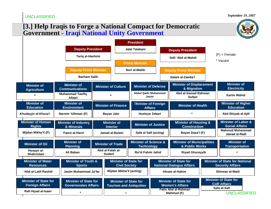*September 19, 2007*

#### **[3.] Help Iraqis to Forge a National Compact for Democratic Government** - **Iraqi National Unity Government**

|                                                        |                                                             |                                                                |                            |                                      |                                                      |                                                         |                                                       | $\alpha$ <sub>E</sub> son                                        |  |                                                                  |
|--------------------------------------------------------|-------------------------------------------------------------|----------------------------------------------------------------|----------------------------|--------------------------------------|------------------------------------------------------|---------------------------------------------------------|-------------------------------------------------------|------------------------------------------------------------------|--|------------------------------------------------------------------|
|                                                        |                                                             |                                                                |                            | <b>President</b>                     |                                                      |                                                         |                                                       |                                                                  |  |                                                                  |
|                                                        | <b>Deputy President</b>                                     |                                                                |                            | Jalal Talabani                       |                                                      | <b>Deputy President</b>                                 |                                                       |                                                                  |  |                                                                  |
|                                                        | Tariq al-Hashimi                                            |                                                                |                            |                                      |                                                      | 'Adil 'Abd al-Mahdi                                     |                                                       | $(F)$ = Female                                                   |  |                                                                  |
|                                                        |                                                             |                                                                |                            | <b>Prime Minister</b>                |                                                      |                                                         |                                                       | * Vacant                                                         |  |                                                                  |
|                                                        | <b>Deputy Prime Minister</b>                                |                                                                |                            | Nuri al-Maliki                       |                                                      | <b>Deputy Prime Minister</b>                            |                                                       |                                                                  |  |                                                                  |
|                                                        | <b>Barham Salih</b>                                         |                                                                |                            |                                      |                                                      | Salam al-Zawba'i                                        |                                                       |                                                                  |  |                                                                  |
| <b>Minister of</b><br><b>Agriculture</b>               | <b>Minister of</b><br><b>Communications</b>                 | <b>Minister of Culture</b>                                     |                            | <b>Minister of Defense</b>           |                                                      | <b>Minister of Displacement</b><br>& Migration          |                                                       | <b>Minister of</b><br><b>Electricity</b>                         |  |                                                                  |
|                                                        | <b>Muhammad Tawfig</b><br><b>Allawi</b>                     | $\star$                                                        |                            | <b>Abdul Qadir Muhammed</b><br>Jasim |                                                      | Abd al-Samad Rahman<br><b>Sultan</b>                    |                                                       | <b>Karim Wahid</b>                                               |  |                                                                  |
| <b>Minister of</b><br><b>Education</b>                 | <b>Minister of</b><br><b>Environment</b>                    |                                                                | <b>Minister of Finance</b> | <b>Affairs</b>                       | <b>Minister of Foreign</b>                           | <b>Minister of Health</b>                               |                                                       | <b>Minister of Higher</b><br><b>Education</b>                    |  |                                                                  |
| Khudayyir al-Khuza'i                                   | Narmin 'Uthman (F)                                          | Bayan Jabr                                                     |                            |                                      |                                                      |                                                         | Hoshyar Zebari                                        |                                                                  |  | Abd Dhiyab al-Ajili                                              |
| <b>Minister of Human</b><br><b>Rights</b>              | <b>Minister of Industry</b><br>& Minerals                   | <b>Minister of</b><br><b>Interior</b>                          |                            |                                      | <b>Minister of Justice</b>                           | <b>Minister of Housing &amp;</b><br><b>Construction</b> |                                                       | <b>Minister of Labor &amp;</b><br><b>Social Affairs</b>          |  |                                                                  |
| Wijdan Mikha'il (F)                                    | Fawzi al-Hariri                                             |                                                                | Jawad al-Bulani            |                                      | Safa al Safi (acting)                                | Bayan Daza'l (F)                                        |                                                       | <b>Mahmud Muhammad</b><br>Jawad al-Radi                          |  |                                                                  |
| <b>Minister of Oil</b>                                 | <b>Minister of</b><br><b>Planning</b>                       |                                                                | <b>Minister of Trade</b>   |                                      |                                                      |                                                         | <b>Minister of Science &amp;</b><br><b>Technology</b> | <b>Minister of Municipalities</b><br>& Public Works              |  | <b>Minister of</b><br><b>Transportation</b>                      |
| Husayn al-<br>Shahristani                              | Ali Baban                                                   | Abd al-Falah al-<br>Sudani                                     |                            | Ra'id Fahmi Jahid                    |                                                      | <b>Riyad Ghurayyib</b>                                  |                                                       |                                                                  |  |                                                                  |
| <b>Minister of Water</b><br><b>Resources</b>           | <b>Minister of Youth &amp;</b><br><b>Sports</b>             |                                                                |                            |                                      | <b>Minister of State for</b><br><b>Civil Society</b> |                                                         |                                                       | <b>Minister of State for</b><br><b>National Dialogue Affairs</b> |  | <b>Minister of State for National</b><br><b>Security Affairs</b> |
| 'Abd al-Latif Rashid                                   | Jasim Muhammad Ja'far                                       | Wijdan Mikha'il (acting)                                       |                            |                                      |                                                      | Akram al-Hakim                                          |                                                       | Shirwan al-Waili                                                 |  |                                                                  |
| <b>Minister of State for</b><br><b>Foreign Affairs</b> | <b>Minister of State for</b><br><b>Governorates Affairs</b> | <b>Minister of State for</b><br><b>Tourism and Antiquities</b> |                            |                                      |                                                      | <b>Minister of State for</b><br><b>Women's Affairs</b>  |                                                       | <b>Minister of State for</b><br><b>CoR Affairs</b>               |  |                                                                  |
| Rafi Hiyad al-Isawi                                    | $\star$                                                     |                                                                | $\star$                    |                                      |                                                      | <b>Fatin Abd al-Rahman</b><br>Mahmud (F)                |                                                       | Safa al-Safi<br><b>UNCLASSIFIED</b>                              |  |                                                                  |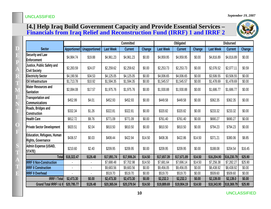*September 19, 2007*

#### **[4.] Help Iraq Build Government Capacity and Provide Essential Services – Financials from Iraq Relief and Reconstruction Fund (IRRF) 1 and IRRF 2**



|                                                         |             |                      | <b>Obligated</b><br><b>Committed</b> |                |               | <b>Disbursed</b> |                |         |                  |                |         |
|---------------------------------------------------------|-------------|----------------------|--------------------------------------|----------------|---------------|------------------|----------------|---------|------------------|----------------|---------|
| <b>Sector</b>                                           | Apportioned | <b>Unapportioned</b> | <b>Last Week</b>                     | <b>Current</b> | <b>Change</b> | <b>Last Week</b> | <b>Current</b> | Change  | <b>Last Week</b> | <b>Current</b> | Change  |
| <b>Security and Law</b><br>Enforcement                  | \$4,984.74  | \$19.88              | \$4,961.23                           | \$4,961.23     | \$0.00        | \$4,959.95       | \$4,959.95     | \$0.00  | \$4,816.89       | \$4,816.89     | \$0.00  |
| Justice, Public Safety and<br><b>Civil Society</b>      | \$2,283.59  | \$24.07              | \$2,259.62                           | \$2,259.62     | \$0.00        | \$2,253.73       | \$2,253.73     | \$0.00  | \$2,076.52       | \$2,077.11     | \$0.59  |
| <b>Electricity Sector</b>                               | \$4,190.56  | \$34.53              | \$4,125.05                           | \$4,125.05     | \$0.00        | \$4,006.65       | \$4,006.65     | \$0.00  | \$3,506.55       | \$3,506.55     | \$0.00  |
| Oil Infrastructure                                      | \$1,713.78  | \$10.92              | \$1,594.35                           | \$1,594.35     | \$0.00        | \$1,545.57       | \$1,545.57     | \$0.00  | \$1,478.69       | \$1,478.69     | \$0.00  |
| <b>Water Resources and</b><br><b>Sanitation</b>         | \$2,084.08  | \$17.57              | \$1,975.76                           | \$1,975.76     | \$0.00        | \$1,930.88       | \$1,930.88     | \$0.00  | \$1,686.77       | \$1,686.77     | \$0.00  |
| <b>Transportation and</b><br><b>Communications</b>      | \$452.99    | \$4.01               | \$452.93                             | \$452.93       | \$0.00        | \$449.58         | \$449.58       | \$0.00  | \$362.35         | \$362.35       | \$0.00  |
| Roads, Bridges and<br><b>Construction</b>               | \$332.34    | \$1.26               | \$322.81                             | \$322.81       | \$0.00        | \$320.82         | \$320.82       | \$0.00  | \$233.32         | \$233.32       | \$0.00  |
| <b>Health Care</b>                                      | \$812.72    | \$9.76               | \$771.09                             | \$771.09       | \$0.00        | \$761.40         | \$761.40       | \$0.00  | \$690.27         | \$690.27       | \$0.00  |
| <b>Private Sector Development</b>                       | \$820.51    | \$2.04               | \$810.50                             | \$810.50       | \$0.00        | \$810.50         | \$810.50       | \$0.00  | \$794.23         | \$794.23       | \$0.00  |
| Education, Refugees, Human<br><b>Rights, Governance</b> | \$436.57    | \$0.03               | \$408.44                             | \$422.94       | \$14.50       | \$408.36         | \$422.86       | \$14.50 | \$371.21         | \$380.06       | \$8.85  |
| Admin Expense (USAID,<br>STATE)                         | \$210.60    | \$2.40               | \$209.95                             | \$209.95       | \$0.00        | \$209.95         | \$209.95       | \$0.00  | \$188.08         | \$204.54       | \$16.45 |
| <b>Total</b>                                            | \$18,322.47 | \$126.48             | \$17,891.74                          | \$17,906.24    | \$14.50       | \$17,657.39      | \$17,671.89    | \$14.50 | \$16,204.90      | \$16,230.79    | \$25.90 |
| <b>IRRF II Non-Construction</b>                         |             |                      | \$7,688.48                           | \$7,702.98     | \$14.50       | \$7,681.64       | \$7,696.14     | \$14.50 | \$7,256.38       | \$7,282.27     | \$25.90 |
| <b>IRRF II Construction</b>                             |             |                      | \$9,683.56                           | \$9,683.56     | \$0.00        | \$9,456.05       | \$9,456.05     | \$0.00  | \$8,438.92       | \$8,438.92     | \$0.00  |
| <b>IRRF II Overhead</b>                                 |             |                      | \$519.70                             | \$519.70       | \$0.00        | \$519.70         | \$519.70       | \$0.00  | \$509.60         | \$509.60       | \$0.00  |
| <b>IRRF I Total</b>                                     | \$2,473.30  | \$0.00               | \$2,473.30                           | \$2,473.30     | \$0.00        | \$2,232.3        | \$2,232.3      | \$0.00  | \$2,139.00       | \$2,139.0      | \$0.00  |
| Grand Total IRRF I & II                                 | \$20,795.77 | \$126.48             | \$20,365.04                          | \$20,379.54    | \$14.50       | \$19,889.69      | \$19,904.19    | \$14.50 | \$18,343.90      | \$18,369.79    | \$25.90 |

#### UNCLASSIFIED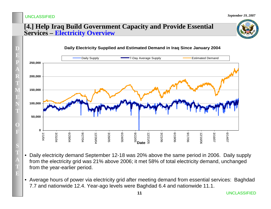*September 19, 2007*

#### **[4.] Help Iraq Build Government Capacity and Provide Essential Services – Electricity Overview**



- Daily electricity demand September 12-18 was 20% above the same period in 2006. Daily supply from the electricity grid was 21% above 2006; it met 58% of total electricity demand, unchanged from the year-earlier period.
- Average hours of power via electricity grid after meeting demand from essential services: Baghdad 7.7 and nationwide 12.4. Year-ago levels were Baghdad 6.4 and nationwide 11.1.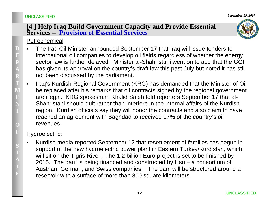#### **[4.] Help Iraq Build Government Capacity and Provide Essential Services – Provision of Essential Services**

### Petrochemical:

- • The Iraq Oil Minister announced September 17 that Iraq will issue tenders to international oil companies to develop oil fields regardless of whether the energy sector law is further delayed. Minister al-Shahristani went on to add that the GOI has given its approval on the country's draft law this past July but noted it has still not been discussed by the parliament.
- • Iraq's Kurdish Regional Government (KRG) has demanded that the Minister of Oil be replaced after his remarks that oil contracts signed by the regional government are illegal. KRG spokesman Khalid Saleh told reporters September 17 that al-Shahristani should quit rather than interfere in the internal affairs of the Kurdish region. Kurdish officials say they will honor the contracts and also claim to have reached an agreement with Baghdad to received 17% of the country's oil revenues.

### Hydroelectric:

• Kurdish media reported September 12 that resettlement of families has begun in support of the new hydroelectric power plant in Eastern Turkey/Kurdistan, which will sit on the Tigris River. The 1.2 billion Euro project is set to be finished by 2015. The dam is being financed and constructed by Ilisu – a consortium of Austrian, German, and Swiss companies. The dam will be structured around a reservoir with a surface of more than 300 square kilometers.

**D**

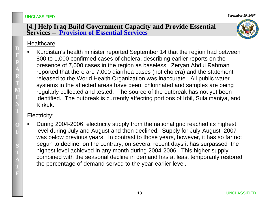#### **[4.] Help Iraq Build Government Capacity and Provide Essential Services – Provision of Essential Services**

#### Healthcare:

• Kurdistan's health minister reported September 14 that the region had between 800 to 1,000 confirmed cases of cholera, describing earlier reports on the presence of 7,000 cases in the region as baseless. Zeryan Abdul Rahman reported that there are 7,000 diarrhea cases (not cholera) and the statement released to the World Health Organization was inaccurate. All public water systems in the affected areas have been chlorinated and samples are being regularly collected and tested. The source of the outbreak has not yet been identified. The outbreak is currently affecting portions of Irbil, Sulaimaniya, and Kirkuk.

### Electricity:

• During 2004-2006, electricity supply from the national grid reached its highest level during July and August and then declined. Supply for July-August 2007 was below previous years. In contrast to those years, however, it has so far not begun to decline; on the contrary, on several recent days it has surpassed the highest level achieved in any month during 2004-2006. This higher supply combined with the seasonal decline in demand has at least temporarily restored the percentage of demand served to the year-earlier level.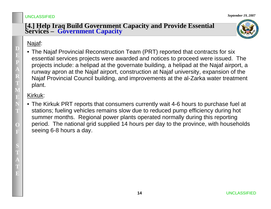# **[4.] Help Iraq Build Government Capacity and Provide Essential Services – Government Capacity**

#### Najaf:

• The Najaf Provincial Reconstruction Team (PRT) reported that contracts for six essential services projects were awarded and notices to proceed were issued. The projects include: a helipad at the governate building, a helipad at the Najaf airport, a runway apron at the Najaf airport, construction at Najaf university, expansion of the Najaf Provincial Council building, and improvements at the al-Zarka water treatment plant.

### Kirkuk:

• The Kirkuk PRT reports that consumers currently wait 4-6 hours to purchase fuel at stations; fueling vehicles remains slow due to reduced pump efficiency during hot summer months. Regional power plants operated normally during this reporting period. The national grid supplied 14 hours per day to the province, with households seeing 6-8 hours a day.

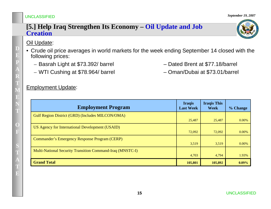#### **[5.] Help Iraq Strengthen Its Economy – Oil Update and Job Creation**

#### Oil Update:

- Crude oil price averages in world markets for the week ending September 14 closed with the following prices:
	- Basrah Light at \$73.392/ barrel Dated Brent at \$77.18/barrel
	- WTI Cushing at \$78.964/ barrel Oman/Dubai at \$73.01/barrel

#### Employment Update:

| <b>Employment Program</b>                                        | <b>Iraqis</b><br><b>Last Week</b> | <b>Iraqis This</b><br><b>Week</b> | % Change |
|------------------------------------------------------------------|-----------------------------------|-----------------------------------|----------|
| Gulf Region District (GRD) (Includes MILCON/OMA)                 | 25,487                            | 25,487                            | $0.00\%$ |
|                                                                  |                                   |                                   |          |
| US Agency for International Development (USAID)                  | 72,092                            | 72,092                            | 0.00%    |
| <b>Commander's Emergency Response Program (CERP)</b>             |                                   |                                   |          |
|                                                                  | 3,519                             | 3,519                             | 0.00%    |
| <b>Multi-National Security Transition Command-Iraq (MNSTC-I)</b> |                                   |                                   |          |
|                                                                  | 4,703                             | 4,794                             | 1.93%    |
| <b>Grand Total</b>                                               | 105,801                           | 105,892                           | $0.09\%$ |

**D**

**E P**

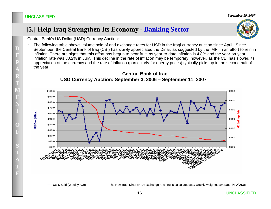### **[5.] Help Iraq Strengthen Its Economy - Banking Sector**

#### Central Bank's US Dollar (USD) Currency Auction:

• The following table shows volume sold of and exchange rates for USD in the Iraqi currency auction since April. Since September, the Central Bank of Iraq (CBI) has slowly appreciated the Dinar, as suggested by the IMF, in an effort to rein in inflation. There are signs that this effort has begun to bear fruit, as year-to-date inflation is 4.8% and the year-on-year inflation rate was 30.2% in July. This decline in the rate of inflation may be temporary, however, as the CBI has slowed its appreciation of the currency and the rate of inflation (particularly for energy prices) typically picks up in the second half of the year.



#### **Central Bank of Iraq USD Currency Auction: September 3, 2006 – September 11, 2007**

US \$ Sold (Weekly Avg) The New Iraqi Dinar (NID) exchange rate line is calculated as a weekly weighted average (**NID/USD**)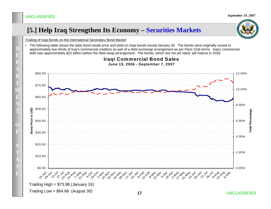### **[5.] Help Iraq Strengthen Its Economy – Securities Markets**

Trading of Iraqi Bonds on the International Secondary Bond Market:

• The following table shows the daily bond resale price and yield on Iraqi bonds issued January 20. The bonds were originally issued to approximately two-thirds of Iraq's commercial creditors as part of a debt exchange arrangement as per Paris Club terms. Iraq's commercial debt was approximately \$22 billion before the debt-swap arrangement. The bonds, which are not yet rated, will mature in 2028.





UNCLASSIFIED

**D**

**E**

**P**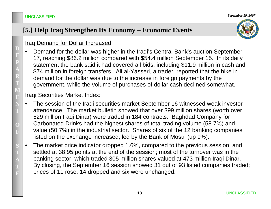### **[5.] Help Iraq Strengthen Its Economy – Economic Events**

### Iraq Demand for Dollar Increased:

• Demand for the dollar was higher in the Iraqi's Central Bank's auction September 17, reaching \$86.2 million compared with \$54.4 million September 15. In its daily statement the bank said it had covered all bids, including \$11.9 million in cash and \$74 million in foreign transfers. Ali al-Yasseri, a trader, reported that the hike in demand for the dollar was due to the increase in foreign payments by the government, while the volume of purchases of dollar cash declined somewhat.

#### Iraqi Securities Market Index:

- • The session of the Iraqi securities market September 16 witnessed weak investor attendance. The market bulletin showed that over 399 million shares (worth over 529 million Iraqi Dinar) were traded in 184 contracts. Baghdad Company for Carbonated Drinks had the highest shares of total trading volume (58.7%) and value (50.7%) in the industrial sector. Shares of six of the 12 banking companies listed on the exchange increased, led by the Bank of Mosul (up 9%).
- • The market price indicator dropped 1.6%, compared to the previous session, and settled at 38.95 points at the end of the session; most of the turnover was in the banking sector, which traded 305 million shares valued at 473 million Iraqi Dinar. By closing, the September 16 session showed 31 out of 93 listed companies traded; prices of 11 rose, 14 dropped and six were unchanged.

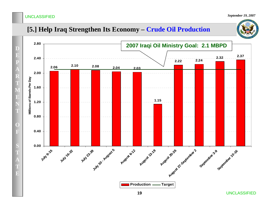**DE**

**P**

**A**

**R**

**T**

**M**

**E NT**

**OF**

**S T**

**AT**

**E**

*September 19, 2007*

### **[5.] Help Iraq Strengthen Its Economy – Crude Oil Production**

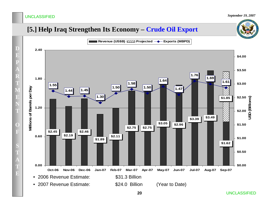### **[5.] Help Iraq Strengthen Its Economy – Crude Oil Export**



UNCLASSIFIED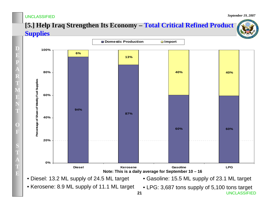**D**

**E**

**P**

**ART**

**M**

**E**

**NT**

**O**

**F**

**S**

**T**

**A**

**TE**

*September 19, 2007*

UNCLASSIFIED

### **[5.] Help Iraq Strengthen Its Economy – Total Critical Refined Product Supplies**



**21**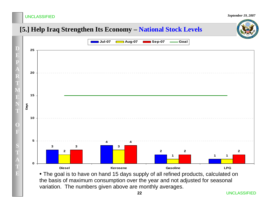### **[5.] Help Iraq Strengthen Its Economy – National Stock Levels**



• The goal is to have on hand 15 days supply of all refined products, calculated on the basis of maximum consumption over the year and not adjusted for seasonal variation. The numbers given above are monthly averages.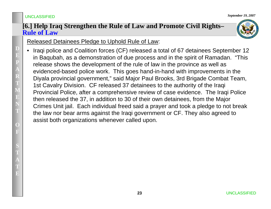#### **[6.] Help Iraq Strengthen the Rule of Law and Promote Civil Rights– Rule of Law**



### Released Detainees Pledge to Uphold Rule of Law:

• Iraqi police and Coalition forces (CF) released a total of 67 detainees September 12 in Baqubah, as a demonstration of due process and in the spirit of Ramadan. "This release shows the development of the rule of law in the province as well as evidenced-based police work. This goes hand-in-hand with improvements in the Diyala provincial government," said Major Paul Brooks, 3rd Brigade Combat Team, 1st Cavalry Division. CF released 37 detainees to the authority of the Iraqi Provincial Police, after a comprehensive review of case evidence. The Iraqi Police then released the 37, in addition to 30 of their own detainees, from the Major Crimes Unit jail. Each individual freed said a prayer and took a pledge to not break the law nor bear arms against the Iraqi government or CF. They also agreed to assist both organizations whenever called upon.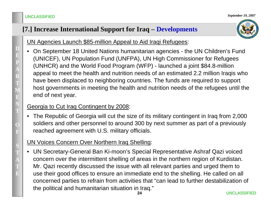### **[7.] Increase International Support for Iraq – Developments**

UN Agencies Launch \$85-million Appeal to Aid Iraqi Refugees:

• On September 18 United Nations humanitarian agencies - the UN Children's Fund (UNICEF), UN Population Fund (UNFPA), UN High Commissioner for Refugees (UNHCR) and the World Food Program (WFP) - launched a joint \$84.8-million appeal to meet the health and nutrition needs of an estimated 2.2 million Iraqis who have been displaced to neighboring countries. The funds are required to support host governments in meeting the health and nutrition needs of the refugees until the end of next year.

### Georgia to Cut Iraq Contingent by 2008:

 The Republic of Georgia will cut the size of its military contingent in Iraq from 2,000 soldiers and other personnel to around 300 by next summer as part of a previously reached agreement with U.S. military officials.

### UN Voices Concern Over Northern Iraq Shelling:

• UN Secretary-General Ban Ki-moon's Special Representative Ashraf Qazi voiced concern over the intermittent shelling of areas in the northern region of Kurdistan. Mr. Qazi recently discussed the issue with all relevant parties and urged them to use their good offices to ensure an immediate end to the shelling. He called on all concerned parties to refrain from activities that "can lead to further destabilization of the political and humanitarian situation in Iraq."

**D**

**E P**

**A**

**R**

**T**

**M**

**E**

**N T**

**O**

**F**

**S T**

**A**

**TE**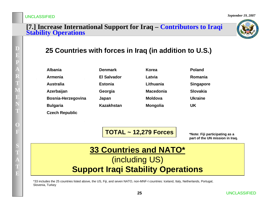# **[7.] Increase International Support for Iraq – Contributors to Iraqi Stability Operations**



### **25 Countries with forces in Iraq (in addition to U.S.)**

| <b>Albania</b>        |
|-----------------------|
| Armenia               |
| Australia             |
| Azerbaijan            |
| Bosnia-Herzegovina    |
| <b>Bulgaria</b>       |
| <b>Czech Republic</b> |

**Denmark El SalvadorEstoniaGeorgia Japan Kazakhstan**

| Korea            | Poland           |
|------------------|------------------|
| Latvia           | Romania          |
| Lithuania        | <b>Singapore</b> |
| <b>Macedonia</b> | Slovakia         |
| Moldova          | <b>Ukraine</b>   |
| <b>Mongolia</b>  | UK               |

**TOTAL ~ 12,279 Forces**

**\*Note: Fiji participating as a part of the UN mission in Iraq.** 

### **33 Countries and NATO\*** (including US) **Support Iraqi Stability Operations**

\*33 includes the 25 countries listed above, the US, Fiji, and seven NATO, non-MNF-I countries: Iceland, Italy, Netherlands, Portugal, Slovenia, Turkey

**D**

**E**

**P**

**AR**

**T**

**M**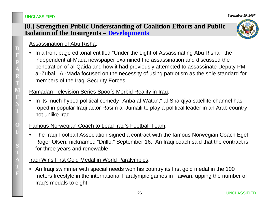### **[8.] Strengthen Public Understanding of Coalition Efforts and Public Isolation of the Insurgents – Developments**

### Assassination of Abu Risha:

• In a front page editorial entitled "Under the Light of Assassinating Abu Risha", the independent al-Mada newspaper examined the assassination and discussed the penetration of al-Qaida and how it had previously attempted to assassinate Deputy PM al-Zubai. Al-Mada focused on the necessity of using patriotism as the sole standard for members of the Iraqi Security Forces.

#### Ramadan Television Series Spoofs Morbid Reality in Iraq:

• In its much-hyped political comedy "Anba al-Watan," al-Sharqiya satellite channel has roped in popular Iraqi actor Rasim al-Jumaili to play a political leader in an Arab country not unlike Iraq.

### Famous Norwegian Coach to Lead Iraq's Football Team:

• The Iraqi Football Association signed a contract with the famous Norwegian Coach Egel Roger Olsen, nicknamed "Drillo," September 16. An Iraqi coach said that the contract is for three years and renewable.

### Iraqi Wins First Gold Medal in World Paralympics:

• An Iraqi swimmer with special needs won his country its first gold medal in the 100 meters freestyle in the international Paralympic games in Taiwan, upping the number of Iraq's medals to eight.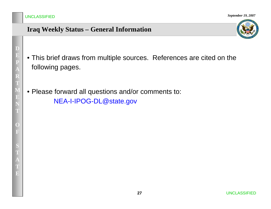### **Iraq Weekly Status – General Information**

- This brief draws from multiple sources. References are cited on the following pages.
- Please forward all questions and/or comments to: NEA-I-IPOG-DL@state.gov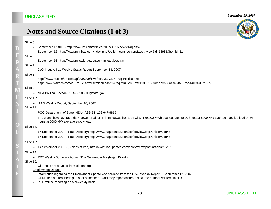### **Notes and Source Citations (1 of 3)**

| '''<br><br>×<br>۰,<br>× |  |
|-------------------------|--|
|-------------------------|--|

**D**

**EP**

**A RT**

**M**

**E**

**N T**

**O**

**F**

**S T**

> **ATE**

- September 17 (IHT http://www.iht.com/articles/2007/09/16/news/iraq.php)
- September 12 http://www.mnf-iraq.com/index.php?option=com\_content&task=view&id=13981&Itemid=21

#### Slide 6:

–September 15 - http://www.mnstci.iraq.centcom.mil/advisor.htm

#### Slide 7:

–DoD Input to Iraq Weekly Status Report September 18, 2007

#### Slide 8:

- –http://www.iht.com/articles/ap/2007/09/17/africa/ME-GEN-Iraq-Politics.php
- http://www.nytimes.com/2007/09/14/world/middleeast/14iraq.html?em&ex=1189915200&en=585c4c6845697aea&ei=5087%0A

#### Slide 9:

–NEA Political Section, NEA-I-POL-DL@state.gov

#### Slide 10:

– ITAO Weekly Report, September 18, 2007

#### Slide 11:

- POC Department of State, NEA-I ASSIST, 202 647-9815
- The chart shows average daily power production in megawatt hours (MWh). 120,000 MWh goal equates to 20 hours at 6000 MW average supplied load or 24 hours at 5000 MW average supply load.

#### Slide 12:

- –17 September 2007 – (Iraq Directory) http://www.iraqupdates.com/scr/preview.php?article=21845
- –17 September 2007 – (Iraq Directory) http://www.iraqupdates.com/scr/preview.php?article=21845

#### Slide 13:

–14 September 2007 - ( Voices of Iraq) http://www.iraqupdates.com/scr/preview.php?article=21757

#### Slide 14:

– PRT Weekly Summary August 31 – September 6 – (Najaf, Kirkuk)

#### Slide 15:

– Oil Prices are sourced from Bloomberg

#### Employment Update:

- Information regarding the Employment Update was sourced from the ITAO Weekly Report September 12, 2007.
- CERP has not reported figures for some time. Until they report accurate data, the number will remain at 0.
- PCO will be reporting on a bi-weekly basis.